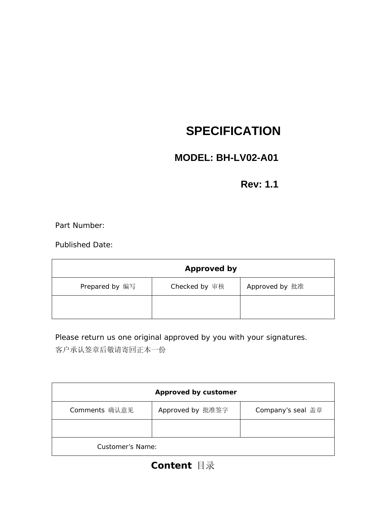# **SPECIFICATION**

# **MODEL: BH-LV02-A01**

## **Rev: 1.1**

Part Number:

Published Date:

| <b>Approved by</b> |               |                |  |  |  |  |  |
|--------------------|---------------|----------------|--|--|--|--|--|
| Prepared by 编写     | Checked by 审核 | Approved by 批准 |  |  |  |  |  |
|                    |               |                |  |  |  |  |  |

Please return us one original approved by you with your signatures. 客户承认签章后敬请寄回正本一份

|                  | Approved by customer |                   |
|------------------|----------------------|-------------------|
| Comments 确认意见    | Approved by 批准签字     | Company's seal 盖章 |
|                  |                      |                   |
| Customer's Name: |                      |                   |

# **Content** 目录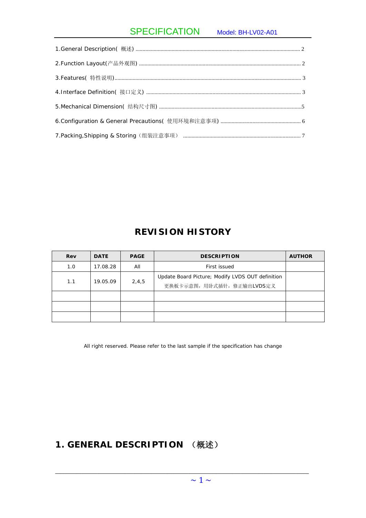## SPECIFICATION Model: BH-LV02-A01

## **REVISION HISTORY**

| Rev | <b>DATE</b> | <b>PAGE</b> | <b>DESCRIPTION</b>                               | <b>AUTHOR</b> |
|-----|-------------|-------------|--------------------------------------------------|---------------|
| 1.0 | 17.08.28    | All         | First issued                                     |               |
| 1.1 |             |             | Update Board Picture; Modify LVDS OUT definition |               |
|     | 19.05.09    | 2,4,5       | 更换板卡示意图, 用卧式插针, 修正输出LVDS定义                       |               |
|     |             |             |                                                  |               |
|     |             |             |                                                  |               |
|     |             |             |                                                  |               |

All right reserved. Please refer to the last sample if the specification has change

## **1. GENERAL DESCRIPTION** (概述)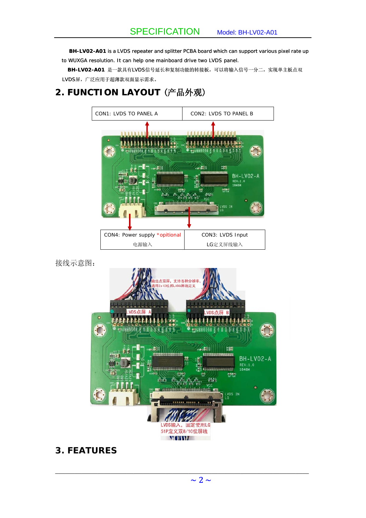**BH-LV02-A01** is a LVDS repeater and splitter PCBA board which can support various pixel rate up to WUXGA resolution. It can help one mainboard drive two LVDS panel.

**BH-LV02-A01** 是一款具有LVDS信号延长和复制功能的转接板,可以将输入信号一分二,实现单主板点双 LVDS屏,广泛应用于超薄款双面显示需求。

## **2. FUNCTION LAYOUT** (产品外观)



接线示意图:



**3. FEATURES**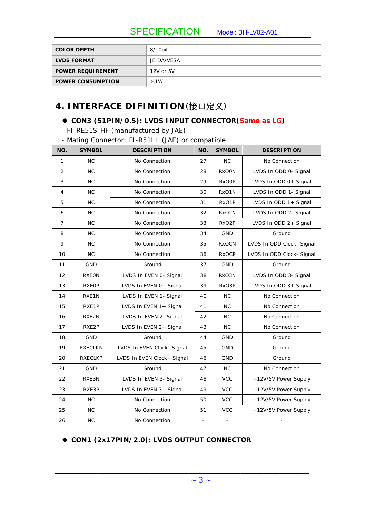SPECIFICATION Model: BH-LV02-A01

| <b>COLOR DEPTH</b>       | 8/10bit    |
|--------------------------|------------|
| <b>LVDS FORMAT</b>       | JEIDA/VESA |
| <b>POWER REQUIREMENT</b> | 12V or 5V  |
| <b>POWER CONSUMPTION</b> | $\leq 1W$  |

## **4. INTERFACE DIFINITION**(接口定义)

#### ◆ **CON3 (51PIN/0.5): LVDS INPUT CONNECTOR(Same as LG)**

- FI-RE51S-HF (manufactured by JAE)

- Mating Connector: FI-R51HL (JAE) or compatible

| NO.            | <b>SYMBOL</b>  | <b>DESCRIPTION</b>         | NO.                      | <b>SYMBOL</b>                         | <b>DESCRIPTION</b>        |  |  |  |  |
|----------------|----------------|----------------------------|--------------------------|---------------------------------------|---------------------------|--|--|--|--|
| 1              | <b>NC</b>      | No Connection              | 27                       | <b>NC</b>                             | No Connection             |  |  |  |  |
| $\overline{2}$ | NC             | No Connection              | 28                       | <b>RxOON</b><br>LVDS In ODD 0- Signal |                           |  |  |  |  |
| 3              | NC             | No Connection              | 29                       | <b>RxOOP</b>                          | LVDS In ODD 0+ Signal     |  |  |  |  |
| 4              | NC             | No Connection              | 30                       | RxO1N                                 | LVDS In ODD 1- Signal     |  |  |  |  |
| 5              | NC             | No Connection              | 31                       | RxO1P                                 | LVDS In ODD 1+ Signal     |  |  |  |  |
| 6              | NC             | No Connection              | 32                       | RxO2N                                 | LVDS In ODD 2- Signal     |  |  |  |  |
| $\overline{7}$ | NC             | No Connection              | 33                       | RxO <sub>2</sub> P                    | LVDS In ODD 2+ Signal     |  |  |  |  |
| 8              | NC             | No Connection              | 34                       | <b>GND</b>                            | Ground                    |  |  |  |  |
| 9              | NC             | No Connection              | 35                       | <b>RxOCN</b>                          | LVDS In ODD Clock- Signal |  |  |  |  |
| 10             | NC             | No Connection              | 36                       | <b>RxOCP</b>                          | LVDS In ODD Clock- Signal |  |  |  |  |
| 11             | GND            | Ground                     | 37                       | <b>GND</b>                            | Ground                    |  |  |  |  |
| 12             | <b>RXEON</b>   | LVDS In EVEN 0- Signal     | 38                       | RxO3N                                 | LVDS In ODD 3- Signal     |  |  |  |  |
| 13             | <b>RXEOP</b>   | LVDS In EVEN 0+ Signal     | 39                       | RxO3P                                 | LVDS In ODD 3+ Signal     |  |  |  |  |
| 14             | RXE1N          | LVDS In EVEN 1- Signal     | 40                       | <b>NC</b>                             | No Connection             |  |  |  |  |
| 15             | RXE1P          | LVDS In EVEN 1+ Signal     | 41                       | <b>NC</b>                             | No Connection             |  |  |  |  |
| 16             | RXE2N          | LVDS In EVEN 2- Signal     | 42                       | <b>NC</b>                             | No Connection             |  |  |  |  |
| 17             | RXE2P          | LVDS In EVEN 2+ Signal     | 43                       | <b>NC</b>                             | No Connection             |  |  |  |  |
| 18             | GND            | Ground                     | 44                       | <b>GND</b>                            | Ground                    |  |  |  |  |
| 19             | <b>RXECLKN</b> | LVDS In EVEN Clock- Signal | 45                       | <b>GND</b>                            | Ground                    |  |  |  |  |
| 20             | <b>RXECLKP</b> | LVDS In EVEN Clock+ Signal | 46                       | <b>GND</b>                            | Ground                    |  |  |  |  |
| 21             | <b>GND</b>     | Ground                     | 47                       | NC                                    | No Connection             |  |  |  |  |
| 22             | RXE3N          | LVDS In EVEN 3- Signal     | 48                       | <b>VCC</b>                            | +12V/5V Power Supply      |  |  |  |  |
| 23             | RXE3P          | LVDS In EVEN 3+ Signal     | 49                       | <b>VCC</b>                            | +12V/5V Power Supply      |  |  |  |  |
| 24             | <b>NC</b>      | No Connection              | 50                       | <b>VCC</b>                            | +12V/5V Power Supply      |  |  |  |  |
| 25             | NC             | No Connection              | 51                       | <b>VCC</b>                            | +12V/5V Power Supply      |  |  |  |  |
| 26             | NC             | No Connection              | $\overline{\phantom{a}}$ | $\omega$                              | $\blacksquare$            |  |  |  |  |

#### ◆ **CON1 (2x17PIN/2.0): LVDS OUTPUT CONNECTOR**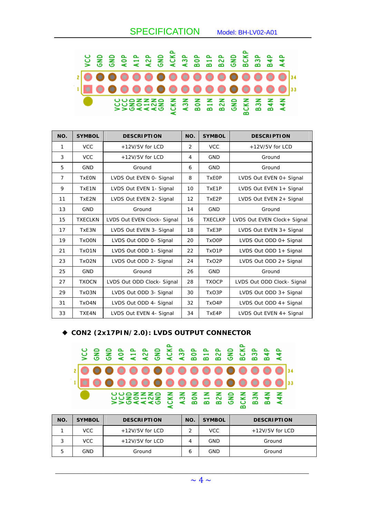|  |  |  |  |  |  |  |  | <b>SEEQZE E E E E E E E E E E E E</b>    |  |
|--|--|--|--|--|--|--|--|------------------------------------------|--|
|  |  |  |  |  |  |  |  |                                          |  |
|  |  |  |  |  |  |  |  |                                          |  |
|  |  |  |  |  |  |  |  | <b>CONSISTER E E E E E E E E E E E E</b> |  |

| NO.            | <b>SYMBOL</b>  | <b>DESCRIPTION</b>         | NO.            | <b>SYMBOL</b>      | <b>DESCRIPTION</b>           |
|----------------|----------------|----------------------------|----------------|--------------------|------------------------------|
| 1              | <b>VCC</b>     | $+12V/5V$ for LCD          | $\overline{2}$ | <b>VCC</b>         | $+12V/5V$ for LCD            |
| 3              | <b>VCC</b>     | $+12V/5V$ for LCD          | 4              | <b>GND</b>         | Ground                       |
| 5              | <b>GND</b>     | Ground                     | 6              | <b>GND</b>         | Ground                       |
| $\overline{7}$ | <b>TxEON</b>   | LVDS Out EVEN 0- Signal    | 8              | <b>TxEOP</b>       | LVDS Out EVEN 0+ Signal      |
| 9              | TxE1N          | LVDS Out EVEN 1- Signal    | 10             | TxE1P              | LVDS Out EVEN 1+ Signal      |
| 11             | TxE2N          | LVDS Out EVEN 2- Signal    | 12             | TxE2P              | LVDS Out EVEN 2+ Signal      |
| 13             | <b>GND</b>     | Ground                     | 14             | <b>GND</b>         | Ground                       |
| 15             | <b>TXECLKN</b> | LVDS Out EVEN Clock-Signal | 16             | <b>TXECLKP</b>     | LVDS Out EVEN Clock + Signal |
| 17             | TxE3N          | LVDS Out EVEN 3- Signal    | 18             | TxE3P              | LVDS Out EVEN 3+ Signal      |
| 19             | <b>TxOON</b>   | LVDS Out ODD 0- Signal     | 20             | <b>TxOOP</b>       | LVDS Out ODD 0+ Signal       |
| 21             | TxO1N          | LVDS Out ODD 1- Signal     | 22             | TxO1P              | LVDS Out ODD 1+ Signal       |
| 23             | TxO2N          | LVDS Out ODD 2- Signal     | 24             | TxO <sub>2</sub> P | LVDS Out ODD 2+ Signal       |
| 25             | <b>GND</b>     | Ground                     | 26             | <b>GND</b>         | Ground                       |
| 27             | <b>TXOCN</b>   | LVDS Out ODD Clock- Signal | 28             | <b>TXOCP</b>       | LVDS Out ODD Clock- Signal   |
| 29             | TxO3N          | LVDS Out ODD 3- Signal     | 30             | TxO3P              | LVDS Out ODD 3+ Signal       |
| 31             | TxO4N          | LVDS Out ODD 4- Signal     | 32             | TxO4P              | LVDS Out ODD 4+ Signal       |
| 33             | TXE4N          | LVDS Out EVEN 4- Signal    | 34             | TxE4P              | LVDS Out EVEN 4+ Signal      |

#### ◆ **CON2 (2x17PIN/2.0): LVDS OUTPUT CONNECTOR**

# **SC**

| NO. | <b>SYMBOL</b> | <b>DESCRIPTION</b> | NO. | <b>SYMBOL</b> | <b>DESCRIPTION</b> |
|-----|---------------|--------------------|-----|---------------|--------------------|
|     | <b>VCC</b>    | $+12V/5V$ for LCD  |     | VCC.          | $+12V/5V$ for LCD  |
| 3   | <b>VCC</b>    | $+12V/5V$ for LCD  | 4   | GND           | Ground             |
| 5   | GND           | Ground             | 6   | GND           | Ground             |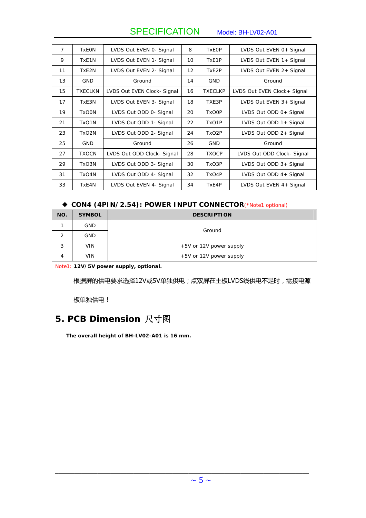SPECIFICATION Model: BH-LV02-A01

| $\overline{7}$ | <b>TxEON</b>       | LVDS Out EVEN 0- Signal    | 8                 | <b>TxEOP</b>       | LVDS Out EVEN 0+ Signal     |
|----------------|--------------------|----------------------------|-------------------|--------------------|-----------------------------|
| 9              | TxE1N              | LVDS Out EVEN 1- Signal    | 10                | TxE1P              | LVDS Out EVEN 1+ Signal     |
| 11             | TxE2N              | LVDS Out EVEN 2- Signal    | $12 \overline{ }$ | TxE2P              | LVDS Out EVEN 2+ Signal     |
| 13             | <b>GND</b>         | Ground                     | 14                | <b>GND</b>         | Ground                      |
| 15             | <b>TXECLKN</b>     | LVDS Out EVEN Clock-Signal | 16                | <b>TXECLKP</b>     | LVDS Out EVEN Clock+ Signal |
| 17             | TxE3N              | LVDS Out EVEN 3- Signal    | 18                | TXE3P              | LVDS Out EVEN 3+ Signal     |
| 19             | <b>TxOON</b>       | LVDS Out ODD 0- Signal     | 20                | TxO0P              | LVDS Out ODD 0+ Signal      |
| 21             | TxO <sub>1</sub> N | LVDS Out ODD 1- Signal     | 22                | TxO <sub>1</sub> P | LVDS Out ODD 1+ Signal      |
| 23             | TxO <sub>2N</sub>  | LVDS Out ODD 2- Signal     | 24                | TxO <sub>2</sub> P | LVDS Out ODD 2+ Signal      |
| 25             | <b>GND</b>         | Ground                     | 26                | <b>GND</b>         | Ground                      |
| 27             | <b>TXOCN</b>       | LVDS Out ODD Clock- Signal | 28                | <b>TXOCP</b>       | LVDS Out ODD Clock- Signal  |
| 29             | TxO3N              | LVDS Out ODD 3- Signal     | 30                | TxO3P              | LVDS Out ODD 3+ Signal      |
| 31             | TxO4N              | LVDS Out ODD 4- Signal     | 32                | TxO4P              | LVDS Out ODD 4+ Signal      |
| 33             | TxE4N              | LVDS Out EVEN 4- Signal    | 34                | TxE4P              | LVDS Out EVEN 4+ Signal     |

#### ◆ CON4 (4PIN/2.54): POWER INPUT CONNECTOR(\*Note1 optional)

| NO. | <b>SYMBOL</b> | <b>DESCRIPTION</b>      |  |  |  |  |  |
|-----|---------------|-------------------------|--|--|--|--|--|
|     | <b>GND</b>    | Ground                  |  |  |  |  |  |
| っ   | <b>GND</b>    |                         |  |  |  |  |  |
| 3   | <b>VIN</b>    | +5V or 12V power supply |  |  |  |  |  |
| 4   | <b>VIN</b>    | +5V or 12V power supply |  |  |  |  |  |

Note1: **12V/5V power supply, optional.** 

根据屏的供电要求选择12V或5V单独供电;点双屏在主板LVDS线供电不足时,需接电源

板单独供电!

## **5. PCB Dimension** 尺寸图

**The overall height of BH-LV02-A01 is 16 mm.**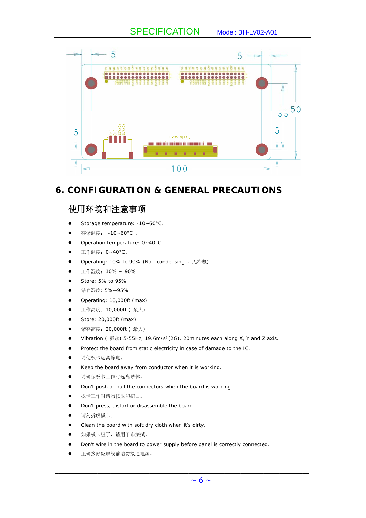

### **6. CONFIGURATION & GENERAL PRECAUTIONS**

## 使用环境和注意事项

- Storage temperature: -10~60°C.
- 存储温度: -10~60°C 。
- Operation temperature: 0~40°C.
- 工作温度: 0~40°C。
- Operating: 10% to 90% (Non-condensing, 无冷凝)
- z 工作湿度:10% ~ 90%
- $\bullet$  Store: 5% to 95%
- 储存湿度: 5%~95%
- Operating: 10,000ft (max)
- 工作高度: 10,000ft (最大)
- Store: 20,000ft (max)
- 储存高度: 20,000ft ( 最大)
- Vibration (振动) 5-55Hz, 19.6m/s<sup>2</sup>(2G), 20minutes each along X, Y and Z axis.
- Protect the board from static electricity in case of damage to the IC.
- z 请使板卡远离静电。
- Keep the board away from conductor when it is working.
- z 请确保板卡工作时远离导体。
- Don't push or pull the connectors when the board is working.
- z 板卡工作时请勿按压和扭曲。
- Don't press, distort or disassemble the board.
- z 请勿拆解板卡。
- Clean the board with soft dry cloth when it's dirty.
- 如果板卡脏了,请用干布擦拭。
- Don't wire in the board to power supply before panel is correctly connected.

 $\mathcal{L}_\mathcal{L} = \{ \mathcal{L}_\mathcal{L} = \{ \mathcal{L}_\mathcal{L} = \{ \mathcal{L}_\mathcal{L} = \{ \mathcal{L}_\mathcal{L} = \{ \mathcal{L}_\mathcal{L} = \{ \mathcal{L}_\mathcal{L} = \{ \mathcal{L}_\mathcal{L} = \{ \mathcal{L}_\mathcal{L} = \{ \mathcal{L}_\mathcal{L} = \{ \mathcal{L}_\mathcal{L} = \{ \mathcal{L}_\mathcal{L} = \{ \mathcal{L}_\mathcal{L} = \{ \mathcal{L}_\mathcal{L} = \{ \mathcal{L}_\mathcal{$ 

z 正确接好驱屏线前请勿接通电源。